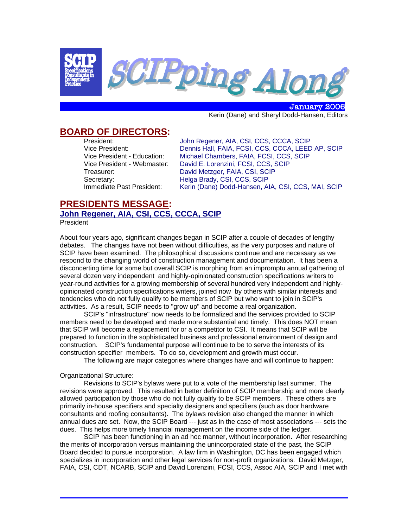

 January 2006 Kerin (Dane) and Sheryl Dodd-Hansen, Editors

# **BOARD OF DIRECTORS:**

 President: John Regener, AIA, CSI, CCS, CCCA, SCIP Vice President: Dennis Hall, FAIA, FCSI, CCS, CCCA, LEED AP, SCIP Vice President - Education: Michael Chambers, FAIA, FCSI, CCS, SCIP Vice President - Webmaster: David E. Lorenzini, FCSI, CCS, SCIP Treasurer: David Metzger, FAIA, CSI, SCIP Secretary: Felga Brady, CSI, CCS, SCIP<br>Immediate Past President: Kerin (Dane) Dodd-Hansen, Al Kerin (Dane) Dodd-Hansen, AIA, CSI, CCS, MAI, SCIP

## **PRESIDENTS MESSAGE: John Regener, AIA, CSI, CCS, CCCA, SCIP** President

About four years ago, significant changes began in SCIP after a couple of decades of lengthy debates. The changes have not been without difficulties, as the very purposes and nature of SCIP have been examined. The philosophical discussions continue and are necessary as we respond to the changing world of construction management and documentation. It has been a disconcerting time for some but overall SCIP is morphing from an impromptu annual gathering of several dozen very independent and highly-opinionated construction specifications writers to year-round activities for a growing membership of several hundred very independent and highlyopinionated construction specifications writers, joined now by others with similar interests and tendencies who do not fully qualify to be members of SCIP but who want to join in SCIP's activities. As a result, SCIP needs to "grow up" and become a real organization.

SCIP's "infrastructure" now needs to be formalized and the services provided to SCIP members need to be developed and made more substantial and timely. This does NOT mean that SCIP will become a replacement for or a competitor to CSI. It means that SCIP will be prepared to function in the sophisticated business and professional environment of design and construction. SCIP's fundamental purpose will continue to be to serve the interests of its construction specifier members. To do so, development and growth must occur.

The following are major categories where changes have and will continue to happen:

### Organizational Structure:

Revisions to SCIP's bylaws were put to a vote of the membership last summer. The revisions were approved. This resulted in better definition of SCIP membership and more clearly allowed participation by those who do not fully qualify to be SCIP members. These others are primarily in-house specifiers and specialty designers and specifiers (such as door hardware consultants and roofing consultants). The bylaws revision also changed the manner in which annual dues are set. Now, the SCIP Board --- just as in the case of most associations --- sets the dues. This helps more timely financial management on the income side of the ledger.

SCIP has been functioning in an ad hoc manner, without incorporation. After researching the merits of incorporation versus maintaining the unincorporated state of the past, the SCIP Board decided to pursue incorporation. A law firm in Washington, DC has been engaged which specializes in incorporation and other legal services for non-profit organizations. David Metzger, FAIA, CSI, CDT, NCARB, SCIP and David Lorenzini, FCSI, CCS, Assoc AIA, SCIP and I met with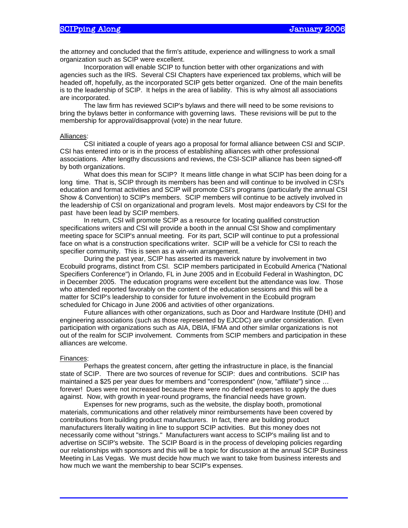the attorney and concluded that the firm's attitude, experience and willingness to work a small organization such as SCIP were excellent.

Incorporation will enable SCIP to function better with other organizations and with agencies such as the IRS. Several CSI Chapters have experienced tax problems, which will be headed off, hopefully, as the incorporated SCIP gets better organized. One of the main benefits is to the leadership of SCIP. It helps in the area of liability. This is why almost all associations are incorporated.

The law firm has reviewed SCIP's bylaws and there will need to be some revisions to bring the bylaws better in conformance with governing laws. These revisions will be put to the membership for approval/disapproval (vote) in the near future.

#### Alliances:

CSI initiated a couple of years ago a proposal for formal alliance between CSI and SCIP. CSI has entered into or is in the process of establishing alliances with other professional associations. After lengthy discussions and reviews, the CSI-SCIP alliance has been signed-off by both organizations.

What does this mean for SCIP? It means little change in what SCIP has been doing for a long time. That is, SCIP through its members has been and will continue to be involved in CSI's education and format activities and SCIP will promote CSI's programs (particularly the annual CSI Show & Convention) to SCIP's members. SCIP members will continue to be actively involved in the leadership of CSI on organizational and program levels. Most major endeavors by CSI for the past have been lead by SCIP members.

In return, CSI will promote SCIP as a resource for locating qualified construction specifications writers and CSI will provide a booth in the annual CSI Show and complimentary meeting space for SCIP's annual meeting. For its part, SCIP will continue to put a professional face on what is a construction specifications writer. SCIP will be a vehicle for CSI to reach the specifier community. This is seen as a win-win arrangement.

During the past year, SCIP has asserted its maverick nature by involvement in two Ecobuild programs, distinct from CSI. SCIP members participated in Ecobuild America ("National Specifiers Conference") in Orlando, FL in June 2005 and in Ecobuild Federal in Washington, DC in December 2005. The education programs were excellent but the attendance was low. Those who attended reported favorably on the content of the education sessions and this will be a matter for SCIP's leadership to consider for future involvement in the Ecobuild program scheduled for Chicago in June 2006 and activities of other organizations.

Future alliances with other organizations, such as Door and Hardware Institute (DHI) and engineering associations (such as those represented by EJCDC) are under consideration. Even participation with organizations such as AIA, DBIA, IFMA and other similar organizations is not out of the realm for SCIP involvement. Comments from SCIP members and participation in these alliances are welcome.

#### Finances:

Perhaps the greatest concern, after getting the infrastructure in place, is the financial state of SCIP. There are two sources of revenue for SCIP: dues and contributions. SCIP has maintained a \$25 per year dues for members and "correspondent" (now, "affiliate") since … forever! Dues were not increased because there were no defined expenses to apply the dues against. Now, with growth in year-round programs, the financial needs have grown.

Expenses for new programs, such as the website, the display booth, promotional materials, communications and other relatively minor reimbursements have been covered by contributions from building product manufacturers. In fact, there are building product manufacturers literally waiting in line to support SCIP activities. But this money does not necessarily come without "strings." Manufacturers want access to SCIP's mailing list and to advertise on SCIP's website. The SCIP Board is in the process of developing policies regarding our relationships with sponsors and this will be a topic for discussion at the annual SCIP Business Meeting in Las Vegas. We must decide how much we want to take from business interests and how much we want the membership to bear SCIP's expenses.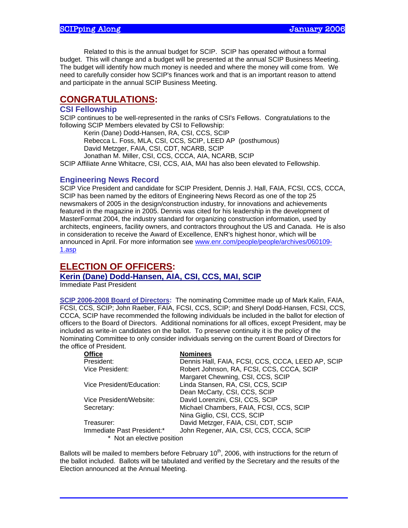Related to this is the annual budget for SCIP. SCIP has operated without a formal budget. This will change and a budget will be presented at the annual SCIP Business Meeting. The budget will identify how much money is needed and where the money will come from. We need to carefully consider how SCIP's finances work and that is an important reason to attend and participate in the annual SCIP Business Meeting.

# **CONGRATULATIONS:**

## **CSI Fellowship**

SCIP continues to be well-represented in the ranks of CSI's Fellows. Congratulations to the following SCIP Members elevated by CSI to Fellowship:

Kerin (Dane) Dodd-Hansen, RA, CSI, CCS, SCIP

Rebecca L. Foss, MLA, CSI, CCS, SCIP, LEED AP (posthumous)

David Metzger, FAIA, CSI, CDT, NCARB, SCIP

Jonathan M. Miller, CSI, CCS, CCCA, AIA, NCARB, SCIP

SCIP Affiliate Anne Whitacre, CSI, CCS, AIA, MAI has also been elevated to Fellowship.

## **Engineering News Record**

SCIP Vice President and candidate for SCIP President, Dennis J. Hall, FAIA, FCSI, CCS, CCCA, SCIP has been named by the editors of Engineering News Record as one of the top 25 newsmakers of 2005 in the design/construction industry, for innovations and achievements featured in the magazine in 2005. Dennis was cited for his leadership in the development of MasterFormat 2004, the industry standard for organizing construction information, used by architects, engineers, facility owners, and contractors throughout the US and Canada. He is also in consideration to receive the Award of Excellence, ENR's highest honor, which will be announced in April. For more information see www.enr.com/people/people/archives/060109- 1.asp

# **ELECTION OF OFFICERS:**

**Kerin (Dane) Dodd-Hansen, AIA, CSI, CCS, MAI, SCIP**

Immediate Past President

**SCIP 2006-2008 Board of Directors:** The nominating Committee made up of Mark Kalin, FAIA, FCSI, CCS, SCIP; John Raeber, FAIA, FCSI, CCS, SCIP; and Sheryl Dodd-Hansen, FCSI, CCS, CCCA, SCIP have recommended the following individuals be included in the ballot for election of officers to the Board of Directors. Additional nominations for all offices, except President, may be included as write-in candidates on the ballot. To preserve continuity it is the policy of the Nominating Committee to only consider individuals serving on the current Board of Directors for the office of President.

| Office                     | <b>Nominees</b>                                   |
|----------------------------|---------------------------------------------------|
| President:                 | Dennis Hall, FAIA, FCSI, CCS, CCCA, LEED AP, SCIP |
| Vice President:            | Robert Johnson, RA, FCSI, CCS, CCCA, SCIP         |
|                            | Margaret Chewning, CSI, CCS, SCIP                 |
| Vice President/Education:  | Linda Stansen, RA, CSI, CCS, SCIP                 |
|                            | Dean McCarty, CSI, CCS, SCIP                      |
| Vice President/Website:    | David Lorenzini, CSI, CCS, SCIP                   |
| Secretary:                 | Michael Chambers, FAIA, FCSI, CCS, SCIP           |
|                            | Nina Giglio, CSI, CCS, SCIP                       |
| Treasurer:                 | David Metzger, FAIA, CSI, CDT, SCIP               |
| Immediate Past President:* | John Regener, AIA, CSI, CCS, CCCA, SCIP           |
| * Not an elective position |                                                   |

Ballots will be mailed to members before February  $10<sup>th</sup>$ , 2006, with instructions for the return of the ballot included. Ballots will be tabulated and verified by the Secretary and the results of the Election announced at the Annual Meeting.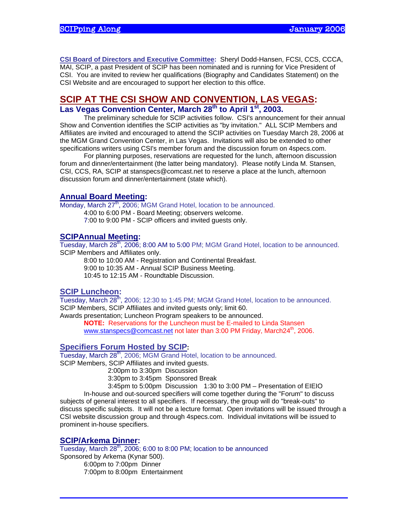**CSI Board of Directors and Executive Committee:** Sheryl Dodd-Hansen, FCSI, CCS, CCCA, MAI, SCIP, a past President of SCIP has been nominated and is running for Vice President of CSI. You are invited to review her qualifications (Biography and Candidates Statement) on the CSI Website and are encouraged to support her election to this office.

## **SCIP AT THE CSI SHOW AND CONVENTION, LAS VEGAS:**  Las Vegas Convention Center, March 28<sup>th</sup> to April 1<sup>st</sup>, 2003.

The preliminary schedule for SCIP activities follow. CSI's announcement for their annual Show and Convention identifies the SCIP activities as "by invitation." ALL SCIP Members and Affiliates are invited and encouraged to attend the SCIP activities on Tuesday March 28, 2006 at the MGM Grand Convention Center, in Las Vegas. Invitations will also be extended to other specifications writers using CSI's member forum and the discussion forum on 4specs.com.

For planning purposes, reservations are requested for the lunch, afternoon discussion forum and dinner/entertainment (the latter being mandatory). Please notify Linda M. Stansen, CSI, CCS, RA, SCIP at stanspecs@comcast.net to reserve a place at the lunch, afternoon discussion forum and dinner/entertainment (state which).

### **Annual Board Meeting:**

Monday, March 27<sup>th</sup>, 2006; MGM Grand Hotel, location to be announced.

 4:00 to 6:00 PM - Board Meeting; observers welcome. 7:00 to 9:00 PM - SCIP officers and invited guests only.

## **SCIPAnnual Meeting:**

Tuesday, March 28<sup>th</sup>, 2006; 8:00 AM to 5:00 PM; MGM Grand Hotel, location to be announced. SCIP Members and Affiliates only.

 8:00 to 10:00 AM - Registration and Continental Breakfast. 9:00 to 10:35 AM - Annual SCIP Business Meeting. 10:45 to 12:15 AM - Roundtable Discussion.

# **SCIP Luncheon:**

Tuesday, March  $28^{th}$ , 2006; 12:30 to 1:45 PM; MGM Grand Hotel, location to be announced. SCIP Members, SCIP Affiliates and invited guests only; limit 60.

Awards presentation; Luncheon Program speakers to be announced. **NOTE:** Reservations for the Luncheon must be E-mailed to Linda Stansen www.stanspecs@comcast.net not later than 3:00 PM Friday, March24<sup>th</sup>, 2006.

## **Specifiers Forum Hosted by SCIP:**

Tuesday, March  $28<sup>th</sup>$ , 2006; MGM Grand Hotel, location to be announced.

SCIP Members, SCIP Affiliates and invited guests.

2:00pm to 3:30pm Discussion

3:30pm to 3:45pm Sponsored Break

 3:45pm to 5:00pm Discussion 1:30 to 3:00 PM – Presentation of EIEIO In-house and out-sourced specifiers will come together during the "Forum" to discuss subjects of general interest to all specifiers. If necessary, the group will do "break-outs" to discuss specific subjects. It will not be a lecture format. Open invitations will be issued through a CSI website discussion group and through 4specs.com. Individual invitations will be issued to prominent in-house specifiers.

### **SCIP/Arkema Dinner:**

Tuesday, March  $28<sup>th</sup>$ , 2006; 6:00 to 8:00 PM; location to be announced Sponsored by Arkema (Kynar 500). 6:00pm to 7:00pm Dinner 7:00pm to 8:00pm Entertainment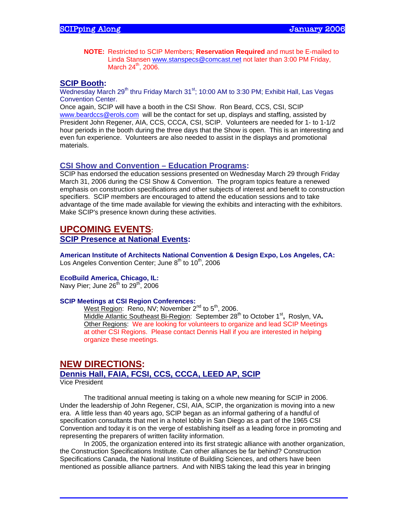**NOTE:** Restricted to SCIP Members; **Reservation Required** and must be E-mailed to Linda Stansen www.stanspecs@comcast.net not later than 3:00 PM Friday, March  $24^{th}$ ,  $2006$ .

#### **SCIP Booth:**

Wednesday March 29<sup>th</sup> thru Friday March 31 $st$ ; 10:00 AM to 3:30 PM; Exhibit Hall, Las Vegas Convention Center.

Once again, SCIP will have a booth in the CSI Show. Ron Beard, CCS, CSI, SCIP www.beardccs@erols.com will be the contact for set up, displays and staffing, assisted by President John Regener, AIA, CCS, CCCA, CSI, SCIP. Volunteers are needed for 1- to 1-1/2 hour periods in the booth during the three days that the Show is open. This is an interesting and even fun experience. Volunteers are also needed to assist in the displays and promotional materials.

### **CSI Show and Convention – Education Programs:**

SCIP has endorsed the education sessions presented on Wednesday March 29 through Friday March 31, 2006 during the CSI Show & Convention. The program topics feature a renewed emphasis on construction specifications and other subjects of interest and benefit to construction specifiers. SCIP members are encouraged to attend the education sessions and to take advantage of the time made available for viewing the exhibits and interacting with the exhibitors. Make SCIP's presence known during these activities.

## **UPCOMING EVENTS:**

**SCIP Presence at National Events:**

**American Institute of Architects National Convention & Design Expo, Los Angeles, CA:**  Los Angeles Convention Center; June  $8<sup>th</sup>$  to 10<sup>th</sup>, 2006

### **EcoBuild America, Chicago, IL:**

Navy Pier; June  $26^{th}$  to  $29^{th}$ , 2006

#### **SCIP Meetings at CSI Region Conferences:**

West Region: Reno, NV; November  $2^{nd}$  to  $5^{th}$ , 2006. Middle Atlantic Southeast Bi-Region: September 28<sup>th</sup> to October 1<sup>st</sup>, Roslyn, VA. Other Regions: We are looking for volunteers to organize and lead SCIP Meetings at other CSI Regions. Please contact Dennis Hall if you are interested in helping organize these meetings.

## **NEW DIRECTIONS:**

#### **Dennis Hall, FAIA, FCSI, CCS, CCCA, LEED AP, SCIP** Vice President

The traditional annual meeting is taking on a whole new meaning for SCIP in 2006. Under the leadership of John Regener, CSI, AIA, SCIP, the organization is moving into a new era. A little less than 40 years ago, SCIP began as an informal gathering of a handful of specification consultants that met in a hotel lobby in San Diego as a part of the 1965 CSI Convention and today it is on the verge of establishing itself as a leading force in promoting and representing the preparers of written facility information.

In 2005, the organization entered into its first strategic alliance with another organization, the Construction Specifications Institute. Can other alliances be far behind? Construction Specifications Canada, the National Institute of Building Sciences, and others have been mentioned as possible alliance partners. And with NIBS taking the lead this year in bringing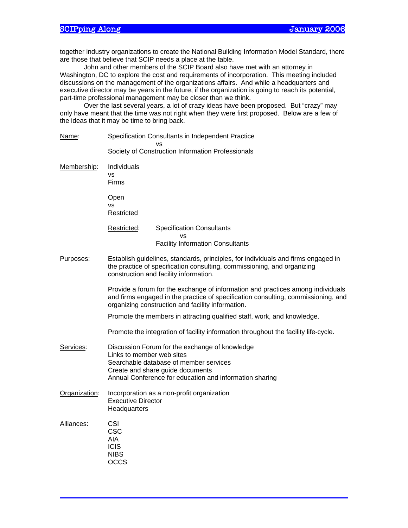together industry organizations to create the National Building Information Model Standard, there are those that believe that SCIP needs a place at the table.

John and other members of the SCIP Board also have met with an attorney in Washington, DC to explore the cost and requirements of incorporation. This meeting included discussions on the management of the organizations affairs. And while a headquarters and executive director may be years in the future, if the organization is going to reach its potential, part-time professional management may be closer than we think.

Over the last several years, a lot of crazy ideas have been proposed. But "crazy" may only have meant that the time was not right when they were first proposed. Below are a few of the ideas that it may be time to bring back.

| Name:         | Specification Consultants in Independent Practice                                                                                                                                                                         |                                                                                                                                                                                                        |  |
|---------------|---------------------------------------------------------------------------------------------------------------------------------------------------------------------------------------------------------------------------|--------------------------------------------------------------------------------------------------------------------------------------------------------------------------------------------------------|--|
|               |                                                                                                                                                                                                                           | Society of Construction Information Professionals                                                                                                                                                      |  |
| Membership:   | Individuals<br>vs<br>Firms                                                                                                                                                                                                |                                                                                                                                                                                                        |  |
|               | Open<br><b>VS</b><br>Restricted                                                                                                                                                                                           |                                                                                                                                                                                                        |  |
|               | Restricted:                                                                                                                                                                                                               | <b>Specification Consultants</b>                                                                                                                                                                       |  |
|               |                                                                                                                                                                                                                           | vs<br><b>Facility Information Consultants</b>                                                                                                                                                          |  |
| Purposes:     |                                                                                                                                                                                                                           | Establish guidelines, standards, principles, for individuals and firms engaged in<br>the practice of specification consulting, commissioning, and organizing<br>construction and facility information. |  |
|               | Provide a forum for the exchange of information and practices among individuals<br>and firms engaged in the practice of specification consulting, commissioning, and<br>organizing construction and facility information. |                                                                                                                                                                                                        |  |
|               | Promote the members in attracting qualified staff, work, and knowledge.                                                                                                                                                   |                                                                                                                                                                                                        |  |
|               | Promote the integration of facility information throughout the facility life-cycle.                                                                                                                                       |                                                                                                                                                                                                        |  |
| Services:     | Discussion Forum for the exchange of knowledge<br>Links to member web sites<br>Searchable database of member services<br>Create and share guide documents<br>Annual Conference for education and information sharing      |                                                                                                                                                                                                        |  |
| Organization: | Incorporation as a non-profit organization<br><b>Executive Director</b><br>Headquarters                                                                                                                                   |                                                                                                                                                                                                        |  |
| Alliances:    | CSI<br><b>CSC</b><br>AIA<br><b>ICIS</b><br><b>NIBS</b><br><b>OCCS</b>                                                                                                                                                     |                                                                                                                                                                                                        |  |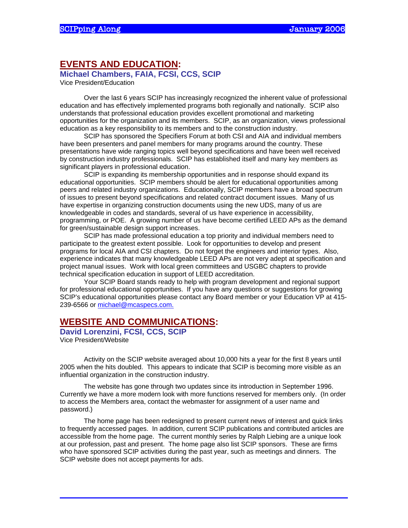## **EVENTS AND EDUCATION:**

**Michael Chambers, FAIA, FCSI, CCS, SCIP** 

Vice President/Education

Over the last 6 years SCIP has increasingly recognized the inherent value of professional education and has effectively implemented programs both regionally and nationally. SCIP also understands that professional education provides excellent promotional and marketing opportunities for the organization and its members. SCIP, as an organization, views professional education as a key responsibility to its members and to the construction industry.

SCIP has sponsored the Specifiers Forum at both CSI and AIA and individual members have been presenters and panel members for many programs around the country. These presentations have wide ranging topics well beyond specifications and have been well received by construction industry professionals. SCIP has established itself and many key members as significant players in professional education.

 SCIP is expanding its membership opportunities and in response should expand its educational opportunities. SCIP members should be alert for educational opportunities among peers and related industry organizations. Educationally, SCIP members have a broad spectrum of issues to present beyond specifications and related contract document issues. Many of us have expertise in organizing construction documents using the new UDS, many of us are knowledgeable in codes and standards, several of us have experience in accessibility, programming, or POE. A growing number of us have become certified LEED APs as the demand for green/sustainable design support increases.

SCIP has made professional education a top priority and individual members need to participate to the greatest extent possible. Look for opportunities to develop and present programs for local AIA and CSI chapters. Do not forget the engineers and interior types. Also, experience indicates that many knowledgeable LEED APs are not very adept at specification and project manual issues. Work with local green committees and USGBC chapters to provide technical specification education in support of LEED accreditation.

Your SCIP Board stands ready to help with program development and regional support for professional educational opportunities. If you have any questions or suggestions for growing SCIP's educational opportunities please contact any Board member or your Education VP at 415- 239-6566 or michael@mcaspecs.com.

## **WEBSITE AND COMMUNICATIONS:**

**David Lorenzini, FCSI, CCS, SCIP**  Vice President/Website

Activity on the SCIP website averaged about 10,000 hits a year for the first 8 years until 2005 when the hits doubled. This appears to indicate that SCIP is becoming more visible as an influential organization in the construction industry.

The website has gone through two updates since its introduction in September 1996. Currently we have a more modern look with more functions reserved for members only. (In order to access the Members area, contact the webmaster for assignment of a user name and password.)

The home page has been redesigned to present current news of interest and quick links to frequently accessed pages. In addition, current SCIP publications and contributed articles are accessible from the home page. The current monthly series by Ralph Liebing are a unique look at our profession, past and present. The home page also list SCIP sponsors. These are firms who have sponsored SCIP activities during the past year, such as meetings and dinners. The SCIP website does not accept payments for ads.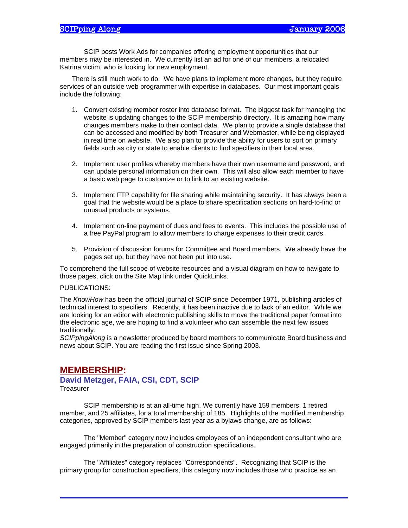SCIP posts Work Ads for companies offering employment opportunities that our members may be interested in. We currently list an ad for one of our members, a relocated Katrina victim, who is looking for new employment.

There is still much work to do. We have plans to implement more changes, but they require services of an outside web programmer with expertise in databases. Our most important goals include the following:

- 1. Convert existing member roster into database format. The biggest task for managing the website is updating changes to the SCIP membership directory. It is amazing how many changes members make to their contact data. We plan to provide a single database that can be accessed and modified by both Treasurer and Webmaster, while being displayed in real time on website. We also plan to provide the ability for users to sort on primary fields such as city or state to enable clients to find specifiers in their local area.
- 2. Implement user profiles whereby members have their own username and password, and can update personal information on their own. This will also allow each member to have a basic web page to customize or to link to an existing website.
- 3. Implement FTP capability for file sharing while maintaining security. It has always been a goal that the website would be a place to share specification sections on hard-to-find or unusual products or systems.
- 4. Implement on-line payment of dues and fees to events. This includes the possible use of a free PayPal program to allow members to charge expenses to their credit cards.
- 5. Provision of discussion forums for Committee and Board members. We already have the pages set up, but they have not been put into use.

To comprehend the full scope of website resources and a visual diagram on how to navigate to those pages, click on the Site Map link under QuickLinks.

#### PUBLICATIONS:

The *KnowHow* has been the official journal of SCIP since December 1971, publishing articles of technical interest to specifiers. Recently, it has been inactive due to lack of an editor. While we are looking for an editor with electronic publishing skills to move the traditional paper format into the electronic age, we are hoping to find a volunteer who can assemble the next few issues traditionally.

*SCIPpingAlong* is a newsletter produced by board members to communicate Board business and news about SCIP. You are reading the first issue since Spring 2003.

# **MEMBERSHIP:**

#### **David Metzger, FAIA, CSI, CDT, SCIP Treasurer**

SCIP membership is at an all-time high. We currently have 159 members, 1 retired member, and 25 affiliates, for a total membership of 185. Highlights of the modified membership categories, approved by SCIP members last year as a bylaws change, are as follows:

The "Member" category now includes employees of an independent consultant who are engaged primarily in the preparation of construction specifications.

The "Affiliates" category replaces "Correspondents". Recognizing that SCIP is the primary group for construction specifiers, this category now includes those who practice as an